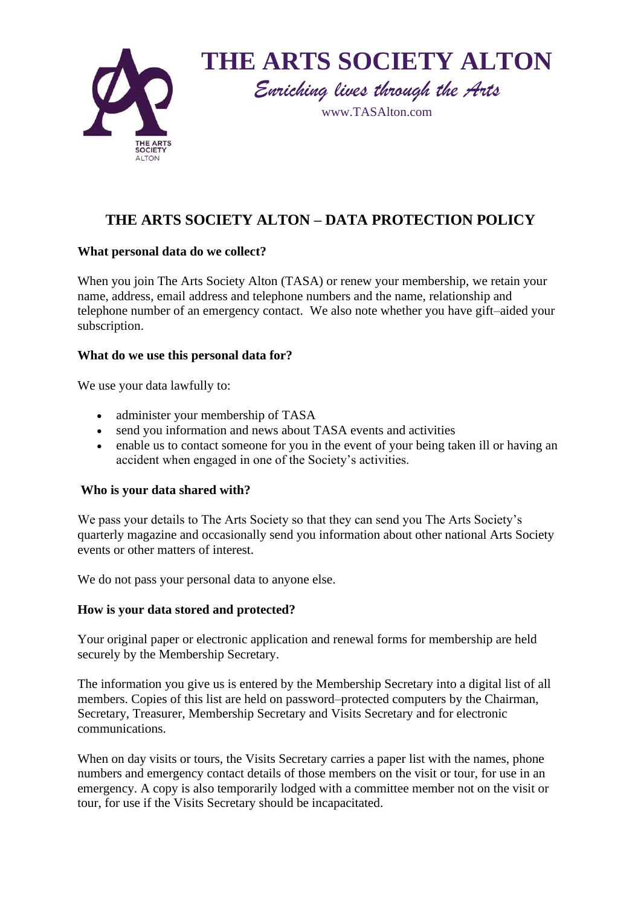



# **THE ARTS SOCIETY ALTON – DATA PROTECTION POLICY**

# **What personal data do we collect?**

When you join The Arts Society Alton (TASA) or renew your membership, we retain your name, address, email address and telephone numbers and the name, relationship and telephone number of an emergency contact. We also note whether you have gift–aided your subscription.

# **What do we use this personal data for?**

We use your data lawfully to:

- administer your membership of TASA
- send you information and news about TASA events and activities
- enable us to contact someone for you in the event of your being taken ill or having an accident when engaged in one of the Society's activities.

# **Who is your data shared with?**

We pass your details to The Arts Society so that they can send you The Arts Society's quarterly magazine and occasionally send you information about other national Arts Society events or other matters of interest.

We do not pass your personal data to anyone else.

# **How is your data stored and protected?**

Your original paper or electronic application and renewal forms for membership are held securely by the Membership Secretary.

The information you give us is entered by the Membership Secretary into a digital list of all members. Copies of this list are held on password–protected computers by the Chairman, Secretary, Treasurer, Membership Secretary and Visits Secretary and for electronic communications.

When on day visits or tours, the Visits Secretary carries a paper list with the names, phone numbers and emergency contact details of those members on the visit or tour, for use in an emergency. A copy is also temporarily lodged with a committee member not on the visit or tour, for use if the Visits Secretary should be incapacitated.